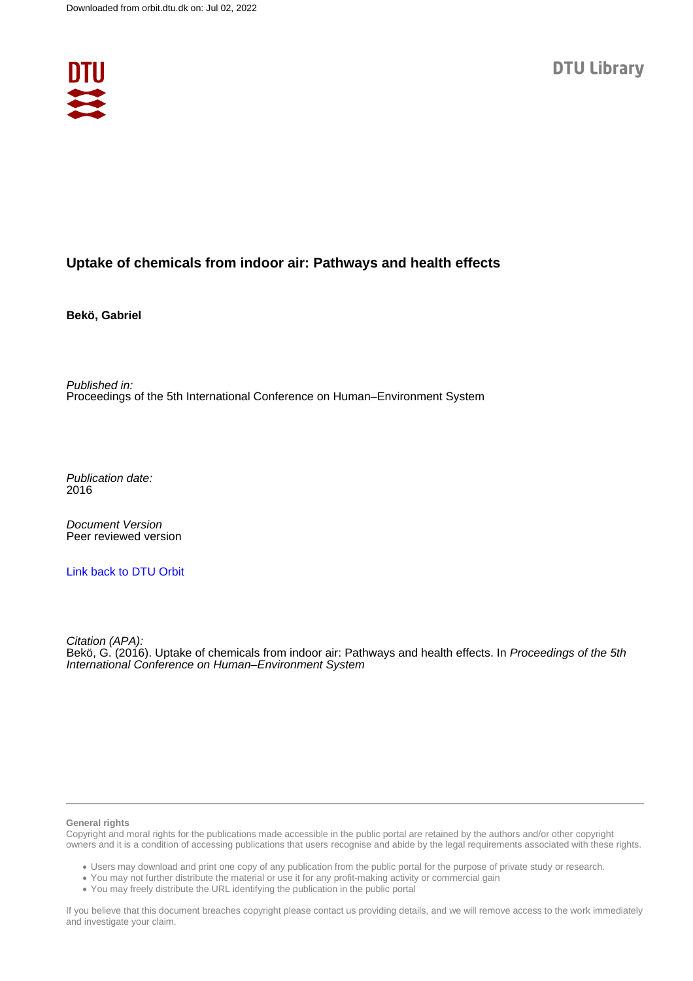

# **Uptake of chemicals from indoor air: Pathways and health effects**

**Bekö, Gabriel**

Published in: Proceedings of the 5th International Conference on Human–Environment System

Publication date: 2016

Document Version Peer reviewed version

[Link back to DTU Orbit](https://orbit.dtu.dk/en/publications/ae9aff2d-1f69-41fa-adbf-13418fb71d31)

Citation (APA):

Bekö, G. (2016). Uptake of chemicals from indoor air: Pathways and health effects. In Proceedings of the 5th International Conference on Human–Environment System

#### **General rights**

Copyright and moral rights for the publications made accessible in the public portal are retained by the authors and/or other copyright owners and it is a condition of accessing publications that users recognise and abide by the legal requirements associated with these rights.

Users may download and print one copy of any publication from the public portal for the purpose of private study or research.

- You may not further distribute the material or use it for any profit-making activity or commercial gain
- You may freely distribute the URL identifying the publication in the public portal

If you believe that this document breaches copyright please contact us providing details, and we will remove access to the work immediately and investigate your claim.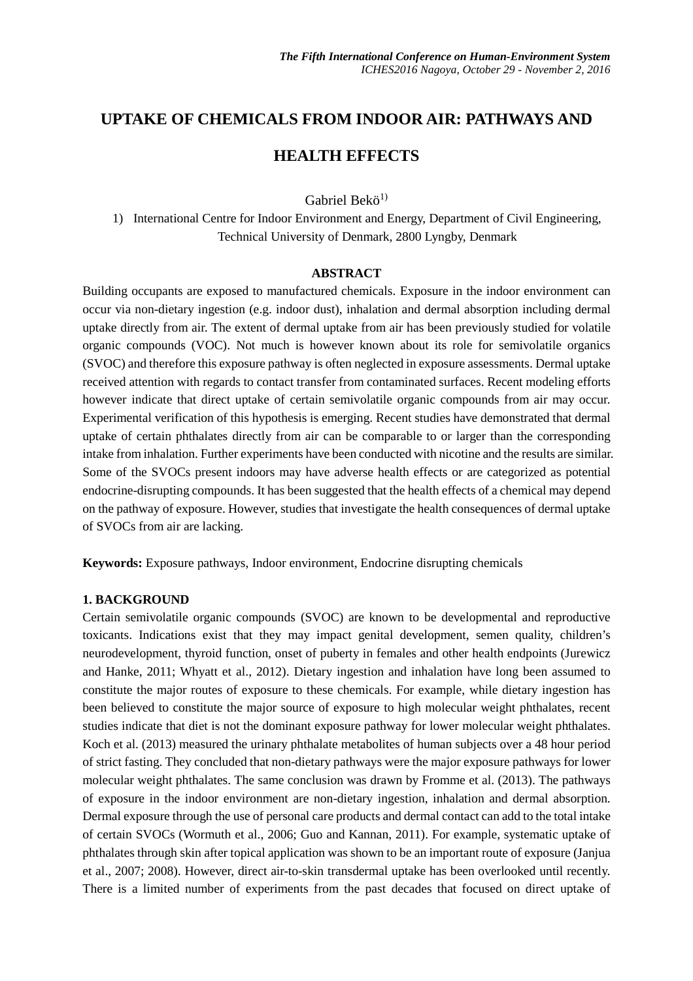# **UPTAKE OF CHEMICALS FROM INDOOR AIR: PATHWAYS AND**

# **HEALTH EFFECTS**

Gabriel Bekö<sup>1)</sup>

1) International Centre for Indoor Environment and Energy, Department of Civil Engineering, Technical University of Denmark, 2800 Lyngby, Denmark

### **ABSTRACT**

Building occupants are exposed to manufactured chemicals. Exposure in the indoor environment can occur via non-dietary ingestion (e.g. indoor dust), inhalation and dermal absorption including dermal uptake directly from air. The extent of dermal uptake from air has been previously studied for volatile organic compounds (VOC). Not much is however known about its role for semivolatile organics (SVOC) and therefore this exposure pathway is often neglected in exposure assessments. Dermal uptake received attention with regards to contact transfer from contaminated surfaces. Recent modeling efforts however indicate that direct uptake of certain semivolatile organic compounds from air may occur. Experimental verification of this hypothesis is emerging. Recent studies have demonstrated that dermal uptake of certain phthalates directly from air can be comparable to or larger than the corresponding intake from inhalation. Further experiments have been conducted with nicotine and the results are similar. Some of the SVOCs present indoors may have adverse health effects or are categorized as potential endocrine-disrupting compounds. It has been suggested that the health effects of a chemical may depend on the pathway of exposure. However, studies that investigate the health consequences of dermal uptake of SVOCs from air are lacking.

**Keywords:** Exposure pathways, Indoor environment, Endocrine disrupting chemicals

# **1. BACKGROUND**

Certain semivolatile organic compounds (SVOC) are known to be developmental and reproductive toxicants. Indications exist that they may impact genital development, semen quality, children's neurodevelopment, thyroid function, onset of puberty in females and other health endpoints (Jurewicz and Hanke, 2011; Whyatt et al., 2012). Dietary ingestion and inhalation have long been assumed to constitute the major routes of exposure to these chemicals. For example, while dietary ingestion has been believed to constitute the major source of exposure to high molecular weight phthalates, recent studies indicate that diet is not the dominant exposure pathway for lower molecular weight phthalates. Koch et al. (2013) measured the urinary phthalate metabolites of human subjects over a 48 hour period of strict fasting. They concluded that non-dietary pathways were the major exposure pathways for lower molecular weight phthalates. The same conclusion was drawn by Fromme et al. (2013). The pathways of exposure in the indoor environment are non-dietary ingestion, inhalation and dermal absorption. Dermal exposure through the use of personal care products and dermal contact can add to the total intake of certain SVOCs (Wormuth et al., 2006; Guo and Kannan, 2011). For example, systematic uptake of phthalates through skin after topical application was shown to be an important route of exposure (Janjua et al., 2007; 2008). However, direct air-to-skin transdermal uptake has been overlooked until recently. There is a limited number of experiments from the past decades that focused on direct uptake of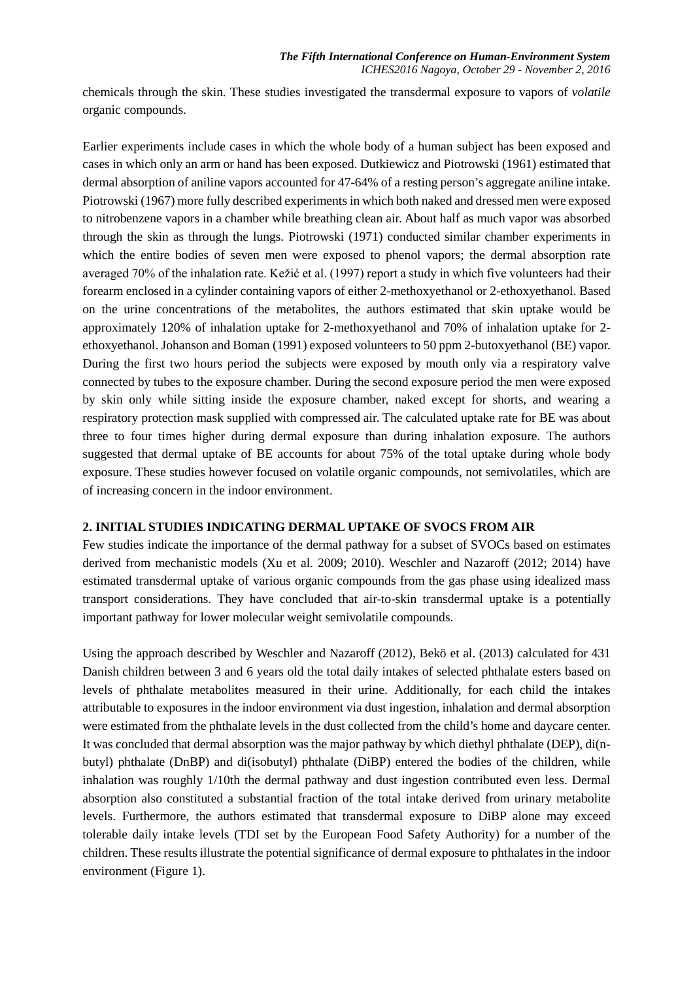chemicals through the skin. These studies investigated the transdermal exposure to vapors of *volatile* organic compounds.

Earlier experiments include cases in which the whole body of a human subject has been exposed and cases in which only an arm or hand has been exposed. Dutkiewicz and Piotrowski (1961) estimated that dermal absorption of aniline vapors accounted for 47-64% of a resting person's aggregate aniline intake. Piotrowski (1967) more fully described experiments in which both naked and dressed men were exposed to nitrobenzene vapors in a chamber while breathing clean air. About half as much vapor was absorbed through the skin as through the lungs. Piotrowski (1971) conducted similar chamber experiments in which the entire bodies of seven men were exposed to phenol vapors; the dermal absorption rate averaged 70% of the inhalation rate. Kežić et al. (1997) report a study in which five volunteers had their forearm enclosed in a cylinder containing vapors of either 2-methoxyethanol or 2-ethoxyethanol. Based on the urine concentrations of the metabolites, the authors estimated that skin uptake would be approximately 120% of inhalation uptake for 2-methoxyethanol and 70% of inhalation uptake for 2 ethoxyethanol. Johanson and Boman (1991) exposed volunteers to 50 ppm 2-butoxyethanol (BE) vapor. During the first two hours period the subjects were exposed by mouth only via a respiratory valve connected by tubes to the exposure chamber. During the second exposure period the men were exposed by skin only while sitting inside the exposure chamber, naked except for shorts, and wearing a respiratory protection mask supplied with compressed air. The calculated uptake rate for BE was about three to four times higher during dermal exposure than during inhalation exposure. The authors suggested that dermal uptake of BE accounts for about 75% of the total uptake during whole body exposure. These studies however focused on volatile organic compounds, not semivolatiles, which are of increasing concern in the indoor environment.

### **2. INITIAL STUDIES INDICATING DERMAL UPTAKE OF SVOCS FROM AIR**

Few studies indicate the importance of the dermal pathway for a subset of SVOCs based on estimates derived from mechanistic models (Xu et al. 2009; 2010). Weschler and Nazaroff (2012; 2014) have estimated transdermal uptake of various organic compounds from the gas phase using idealized mass transport considerations. They have concluded that air-to-skin transdermal uptake is a potentially important pathway for lower molecular weight semivolatile compounds.

Using the approach described by Weschler and Nazaroff (2012), Bekö et al. (2013) calculated for 431 Danish children between 3 and 6 years old the total daily intakes of selected phthalate esters based on levels of phthalate metabolites measured in their urine. Additionally, for each child the intakes attributable to exposures in the indoor environment via dust ingestion, inhalation and dermal absorption were estimated from the phthalate levels in the dust collected from the child's home and daycare center. It was concluded that dermal absorption was the major pathway by which diethyl phthalate (DEP), di(nbutyl) phthalate (DnBP) and di(isobutyl) phthalate (DiBP) entered the bodies of the children, while inhalation was roughly 1/10th the dermal pathway and dust ingestion contributed even less. Dermal absorption also constituted a substantial fraction of the total intake derived from urinary metabolite levels. Furthermore, the authors estimated that transdermal exposure to DiBP alone may exceed tolerable daily intake levels (TDI set by the European Food Safety Authority) for a number of the children. These results illustrate the potential significance of dermal exposure to phthalates in the indoor environment (Figure 1).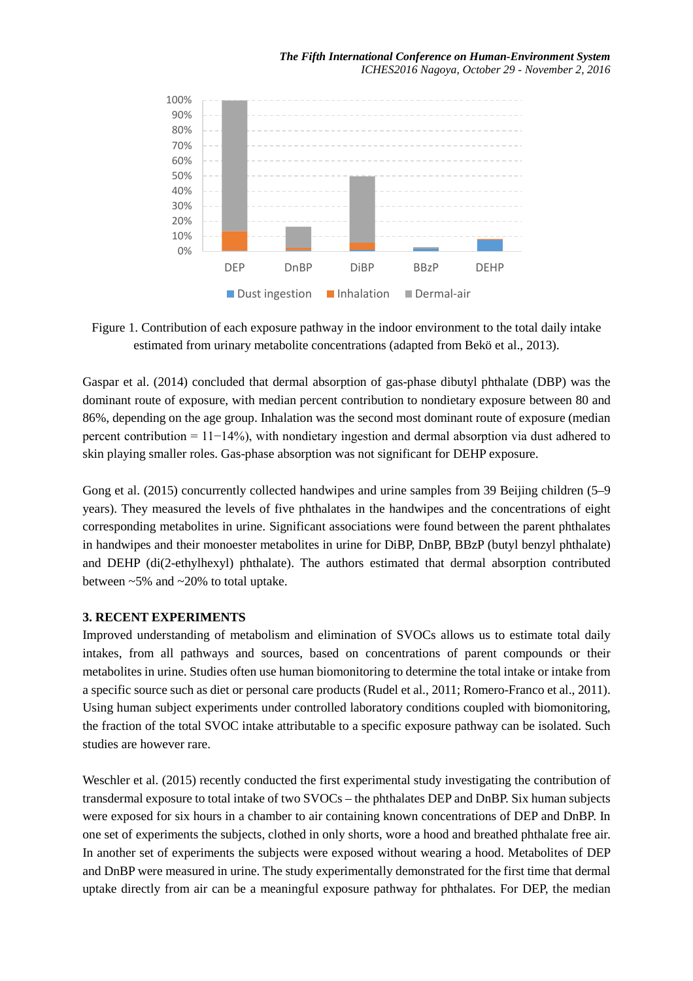

Figure 1. Contribution of each exposure pathway in the indoor environment to the total daily intake estimated from urinary metabolite concentrations (adapted from Bekö et al., 2013).

Gaspar et al. (2014) concluded that dermal absorption of gas-phase dibutyl phthalate (DBP) was the dominant route of exposure, with median percent contribution to nondietary exposure between 80 and 86%, depending on the age group. Inhalation was the second most dominant route of exposure (median percent contribution = 11−14%), with nondietary ingestion and dermal absorption via dust adhered to skin playing smaller roles. Gas-phase absorption was not significant for DEHP exposure.

Gong et al. (2015) concurrently collected handwipes and urine samples from 39 Beijing children (5–9 years). They measured the levels of five phthalates in the handwipes and the concentrations of eight corresponding metabolites in urine. Significant associations were found between the parent phthalates in handwipes and their monoester metabolites in urine for DiBP, DnBP, BBzP (butyl benzyl phthalate) and DEHP (di(2-ethylhexyl) phthalate). The authors estimated that dermal absorption contributed between ~5% and ~20% to total uptake.

## **3. RECENT EXPERIMENTS**

Improved understanding of metabolism and elimination of SVOCs allows us to estimate total daily intakes, from all pathways and sources, based on concentrations of parent compounds or their metabolites in urine. Studies often use human biomonitoring to determine the total intake or intake from a specific source such as diet or personal care products (Rudel et al., 2011; Romero-Franco et al., 2011). Using human subject experiments under controlled laboratory conditions coupled with biomonitoring, the fraction of the total SVOC intake attributable to a specific exposure pathway can be isolated. Such studies are however rare.

Weschler et al. (2015) recently conducted the first experimental study investigating the contribution of transdermal exposure to total intake of two SVOCs – the phthalates DEP and DnBP. Six human subjects were exposed for six hours in a chamber to air containing known concentrations of DEP and DnBP. In one set of experiments the subjects, clothed in only shorts, wore a hood and breathed phthalate free air. In another set of experiments the subjects were exposed without wearing a hood. Metabolites of DEP and DnBP were measured in urine. The study experimentally demonstrated for the first time that dermal uptake directly from air can be a meaningful exposure pathway for phthalates. For DEP, the median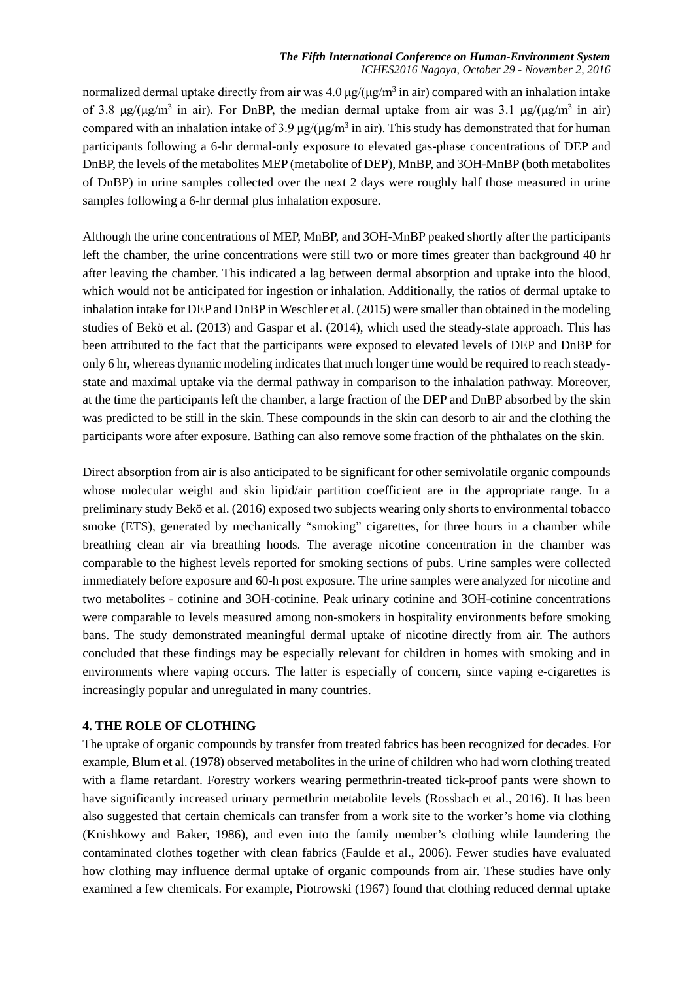#### *The Fifth International Conference on Human-Environment System ICHES2016 Nagoya, October 29 - November 2, 2016*

normalized dermal uptake directly from air was  $4.0 \mu g/(\mu g/m^3)$  in air) compared with an inhalation intake of 3.8 μg/(μg/m<sup>3</sup> in air). For DnBP, the median dermal uptake from air was 3.1 μg/(μg/m<sup>3</sup> in air) compared with an inhalation intake of 3.9  $\mu$ g/( $\mu$ g/m<sup>3</sup> in air). This study has demonstrated that for human participants following a 6-hr dermal-only exposure to elevated gas-phase concentrations of DEP and DnBP, the levels of the metabolites MEP (metabolite of DEP), MnBP, and 3OH-MnBP (both metabolites of DnBP) in urine samples collected over the next 2 days were roughly half those measured in urine samples following a 6-hr dermal plus inhalation exposure.

Although the urine concentrations of MEP, MnBP, and 3OH-MnBP peaked shortly after the participants left the chamber, the urine concentrations were still two or more times greater than background 40 hr after leaving the chamber. This indicated a lag between dermal absorption and uptake into the blood, which would not be anticipated for ingestion or inhalation. Additionally, the ratios of dermal uptake to inhalation intake for DEP and DnBP in Weschler et al. (2015) were smaller than obtained in the modeling studies of Bekö et al. (2013) and Gaspar et al. (2014), which used the steady-state approach. This has been attributed to the fact that the participants were exposed to elevated levels of DEP and DnBP for only 6 hr, whereas dynamic modeling indicates that much longer time would be required to reach steadystate and maximal uptake via the dermal pathway in comparison to the inhalation pathway. Moreover, at the time the participants left the chamber, a large fraction of the DEP and DnBP absorbed by the skin was predicted to be still in the skin. These compounds in the skin can desorb to air and the clothing the participants wore after exposure. Bathing can also remove some fraction of the phthalates on the skin.

Direct absorption from air is also anticipated to be significant for other semivolatile organic compounds whose molecular weight and skin lipid/air partition coefficient are in the appropriate range. In a preliminary study Bekö et al. (2016) exposed two subjects wearing only shorts to environmental tobacco smoke (ETS), generated by mechanically "smoking" cigarettes, for three hours in a chamber while breathing clean air via breathing hoods. The average nicotine concentration in the chamber was comparable to the highest levels reported for smoking sections of pubs. Urine samples were collected immediately before exposure and 60-h post exposure. The urine samples were analyzed for nicotine and two metabolites - cotinine and 3OH-cotinine. Peak urinary cotinine and 3OH-cotinine concentrations were comparable to levels measured among non-smokers in hospitality environments before smoking bans. The study demonstrated meaningful dermal uptake of nicotine directly from air. The authors concluded that these findings may be especially relevant for children in homes with smoking and in environments where vaping occurs. The latter is especially of concern, since vaping e-cigarettes is increasingly popular and unregulated in many countries.

### **4. THE ROLE OF CLOTHING**

The uptake of organic compounds by transfer from treated fabrics has been recognized for decades. For example, Blum et al. (1978) observed metabolites in the urine of children who had worn clothing treated with a flame retardant. Forestry workers wearing permethrin-treated tick-proof pants were shown to have significantly increased urinary permethrin metabolite levels (Rossbach et al., 2016). It has been also suggested that certain chemicals can transfer from a work site to the worker's home via clothing (Knishkowy and Baker, 1986), and even into the family member's clothing while laundering the contaminated clothes together with clean fabrics (Faulde et al., 2006). Fewer studies have evaluated how clothing may influence dermal uptake of organic compounds from air. These studies have only examined a few chemicals. For example, Piotrowski (1967) found that clothing reduced dermal uptake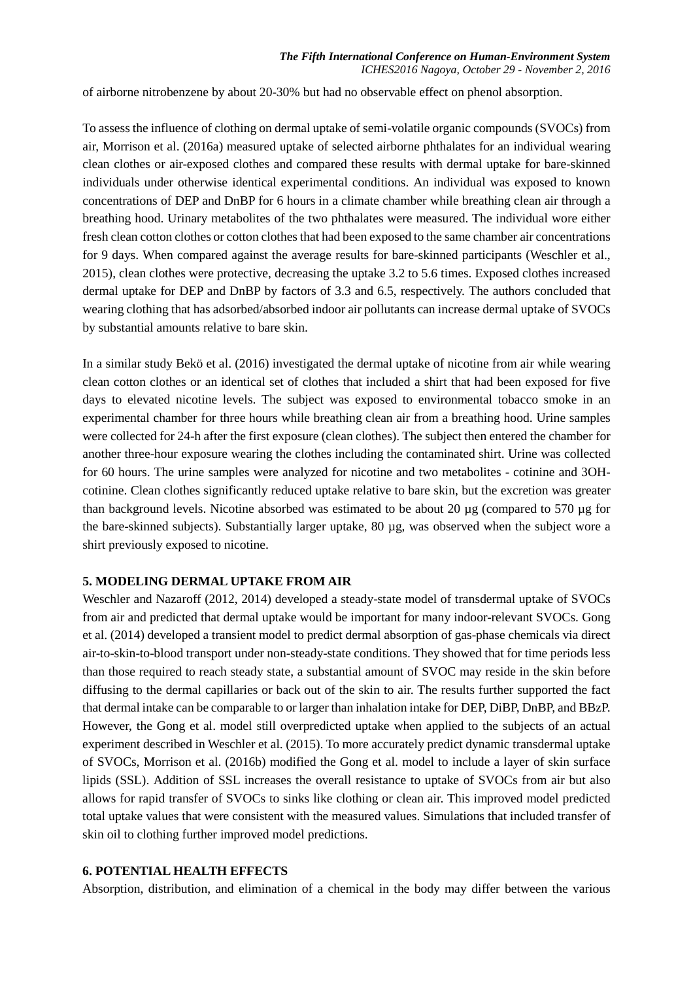of airborne nitrobenzene by about 20-30% but had no observable effect on phenol absorption.

To assess the influence of clothing on dermal uptake of semi-volatile organic compounds (SVOCs) from air, Morrison et al. (2016a) measured uptake of selected airborne phthalates for an individual wearing clean clothes or air-exposed clothes and compared these results with dermal uptake for bare-skinned individuals under otherwise identical experimental conditions. An individual was exposed to known concentrations of DEP and DnBP for 6 hours in a climate chamber while breathing clean air through a breathing hood. Urinary metabolites of the two phthalates were measured. The individual wore either fresh clean cotton clothes or cotton clothes that had been exposed to the same chamber air concentrations for 9 days. When compared against the average results for bare-skinned participants (Weschler et al., 2015), clean clothes were protective, decreasing the uptake 3.2 to 5.6 times. Exposed clothes increased dermal uptake for DEP and DnBP by factors of 3.3 and 6.5, respectively. The authors concluded that wearing clothing that has adsorbed/absorbed indoor air pollutants can increase dermal uptake of SVOCs by substantial amounts relative to bare skin.

In a similar study Bekö et al. (2016) investigated the dermal uptake of nicotine from air while wearing clean cotton clothes or an identical set of clothes that included a shirt that had been exposed for five days to elevated nicotine levels. The subject was exposed to environmental tobacco smoke in an experimental chamber for three hours while breathing clean air from a breathing hood. Urine samples were collected for 24-h after the first exposure (clean clothes). The subject then entered the chamber for another three-hour exposure wearing the clothes including the contaminated shirt. Urine was collected for 60 hours. The urine samples were analyzed for nicotine and two metabolites - cotinine and 3OHcotinine. Clean clothes significantly reduced uptake relative to bare skin, but the excretion was greater than background levels. Nicotine absorbed was estimated to be about 20 µg (compared to 570 µg for the bare-skinned subjects). Substantially larger uptake, 80 µg, was observed when the subject wore a shirt previously exposed to nicotine.

# **5. MODELING DERMAL UPTAKE FROM AIR**

Weschler and Nazaroff (2012, 2014) developed a steady-state model of transdermal uptake of SVOCs from air and predicted that dermal uptake would be important for many indoor-relevant SVOCs. Gong et al. (2014) developed a transient model to predict dermal absorption of gas-phase chemicals via direct air-to-skin-to-blood transport under non-steady-state conditions. They showed that for time periods less than those required to reach steady state, a substantial amount of SVOC may reside in the skin before diffusing to the dermal capillaries or back out of the skin to air. The results further supported the fact that dermal intake can be comparable to or larger than inhalation intake for DEP, DiBP, DnBP, and BBzP. However, the Gong et al. model still overpredicted uptake when applied to the subjects of an actual experiment described in Weschler et al. (2015). To more accurately predict dynamic transdermal uptake of SVOCs, Morrison et al. (2016b) modified the Gong et al. model to include a layer of skin surface lipids (SSL). Addition of SSL increases the overall resistance to uptake of SVOCs from air but also allows for rapid transfer of SVOCs to sinks like clothing or clean air. This improved model predicted total uptake values that were consistent with the measured values. Simulations that included transfer of skin oil to clothing further improved model predictions.

#### **6. POTENTIAL HEALTH EFFECTS**

Absorption, distribution, and elimination of a chemical in the body may differ between the various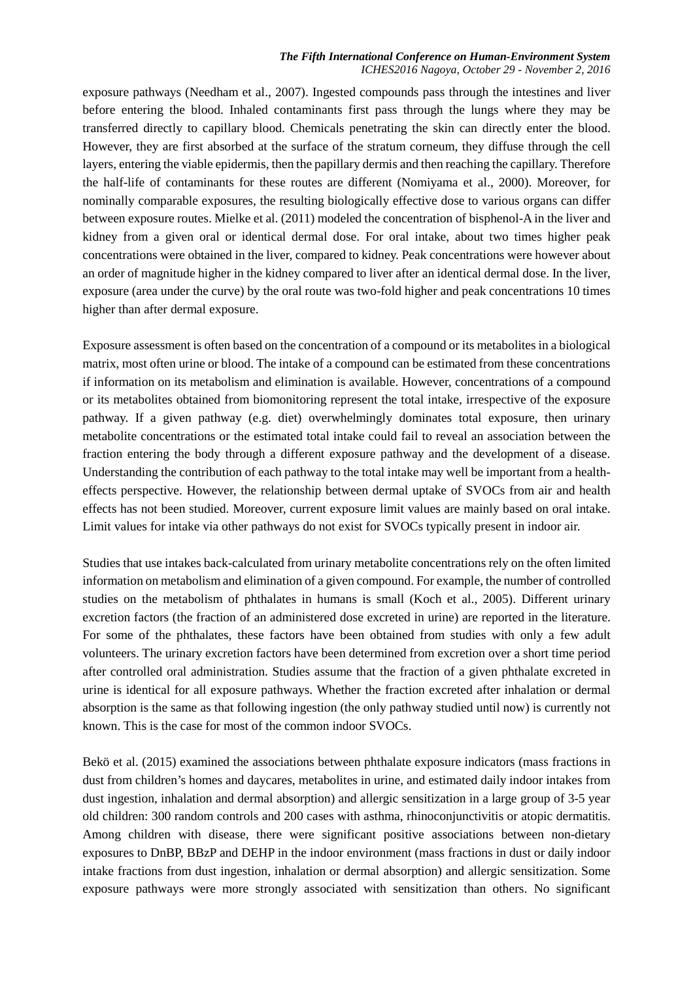### *The Fifth International Conference on Human-Environment System ICHES2016 Nagoya, October 29 - November 2, 2016*

exposure pathways (Needham et al., 2007). Ingested compounds pass through the intestines and liver before entering the blood. Inhaled contaminants first pass through the lungs where they may be transferred directly to capillary blood. Chemicals penetrating the skin can directly enter the blood. However, they are first absorbed at the surface of the stratum corneum, they diffuse through the cell layers, entering the viable epidermis, then the papillary dermis and then reaching the capillary. Therefore the half-life of contaminants for these routes are different (Nomiyama et al., 2000). Moreover, for nominally comparable exposures, the resulting biologically effective dose to various organs can differ between exposure routes. Mielke et al. (2011) modeled the concentration of bisphenol-A in the liver and kidney from a given oral or identical dermal dose. For oral intake, about two times higher peak concentrations were obtained in the liver, compared to kidney. Peak concentrations were however about an order of magnitude higher in the kidney compared to liver after an identical dermal dose. In the liver, exposure (area under the curve) by the oral route was two-fold higher and peak concentrations 10 times higher than after dermal exposure.

Exposure assessment is often based on the concentration of a compound or its metabolites in a biological matrix, most often urine or blood. The intake of a compound can be estimated from these concentrations if information on its metabolism and elimination is available. However, concentrations of a compound or its metabolites obtained from biomonitoring represent the total intake, irrespective of the exposure pathway. If a given pathway (e.g. diet) overwhelmingly dominates total exposure, then urinary metabolite concentrations or the estimated total intake could fail to reveal an association between the fraction entering the body through a different exposure pathway and the development of a disease. Understanding the contribution of each pathway to the total intake may well be important from a healtheffects perspective. However, the relationship between dermal uptake of SVOCs from air and health effects has not been studied. Moreover, current exposure limit values are mainly based on oral intake. Limit values for intake via other pathways do not exist for SVOCs typically present in indoor air.

Studies that use intakes back-calculated from urinary metabolite concentrations rely on the often limited information on metabolism and elimination of a given compound. For example, the number of controlled studies on the metabolism of phthalates in humans is small (Koch et al., 2005). Different urinary excretion factors (the fraction of an administered dose excreted in urine) are reported in the literature. For some of the phthalates, these factors have been obtained from studies with only a few adult volunteers. The urinary excretion factors have been determined from excretion over a short time period after controlled oral administration. Studies assume that the fraction of a given phthalate excreted in urine is identical for all exposure pathways. Whether the fraction excreted after inhalation or dermal absorption is the same as that following ingestion (the only pathway studied until now) is currently not known. This is the case for most of the common indoor SVOCs.

Bekö et al. (2015) examined the associations between phthalate exposure indicators (mass fractions in dust from children's homes and daycares, metabolites in urine, and estimated daily indoor intakes from dust ingestion, inhalation and dermal absorption) and allergic sensitization in a large group of 3-5 year old children: 300 random controls and 200 cases with asthma, rhinoconjunctivitis or atopic dermatitis. Among children with disease, there were significant positive associations between non-dietary exposures to DnBP, BBzP and DEHP in the indoor environment (mass fractions in dust or daily indoor intake fractions from dust ingestion, inhalation or dermal absorption) and allergic sensitization. Some exposure pathways were more strongly associated with sensitization than others. No significant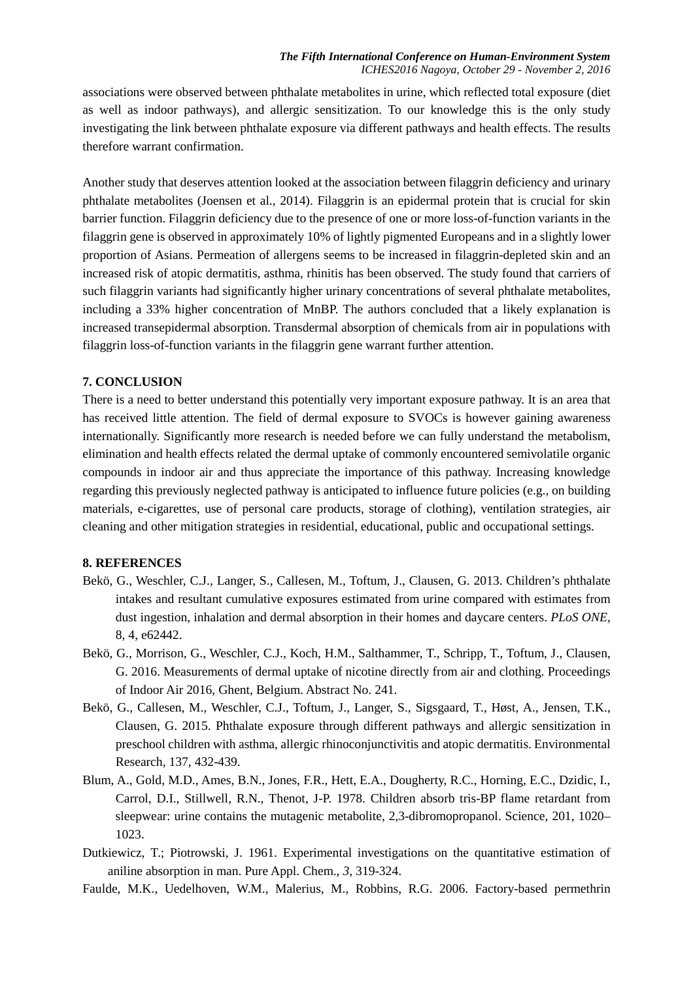associations were observed between phthalate metabolites in urine, which reflected total exposure (diet as well as indoor pathways), and allergic sensitization. To our knowledge this is the only study investigating the link between phthalate exposure via different pathways and health effects. The results therefore warrant confirmation.

Another study that deserves attention looked at the association between filaggrin deficiency and urinary phthalate metabolites (Joensen et al., 2014). Filaggrin is an epidermal protein that is crucial for skin barrier function. Filaggrin deficiency due to the presence of one or more loss-of-function variants in the filaggrin gene is observed in approximately 10% of lightly pigmented Europeans and in a slightly lower proportion of Asians. Permeation of allergens seems to be increased in filaggrin-depleted skin and an increased risk of atopic dermatitis, asthma, rhinitis has been observed. The study found that carriers of such filaggrin variants had significantly higher urinary concentrations of several phthalate metabolites, including a 33% higher concentration of MnBP. The authors concluded that a likely explanation is increased transepidermal absorption. Transdermal absorption of chemicals from air in populations with filaggrin loss-of-function variants in the filaggrin gene warrant further attention.

# **7. CONCLUSION**

There is a need to better understand this potentially very important exposure pathway. It is an area that has received little attention. The field of dermal exposure to SVOCs is however gaining awareness internationally. Significantly more research is needed before we can fully understand the metabolism, elimination and health effects related the dermal uptake of commonly encountered semivolatile organic compounds in indoor air and thus appreciate the importance of this pathway. Increasing knowledge regarding this previously neglected pathway is anticipated to influence future policies (e.g., on building materials, e-cigarettes, use of personal care products, storage of clothing), ventilation strategies, air cleaning and other mitigation strategies in residential, educational, public and occupational settings.

## **8. REFERENCES**

- Bekö, G., Weschler, C.J., Langer, S., Callesen, M., Toftum, J., Clausen, G. 2013. Children's phthalate intakes and resultant cumulative exposures estimated from urine compared with estimates from dust ingestion, inhalation and dermal absorption in their homes and daycare centers. *PLoS ONE,*  8, 4, e62442.
- Bekö, G., Morrison, G., Weschler, C.J., Koch, H.M., Salthammer, T., Schripp, T., Toftum, J., Clausen, G. 2016. Measurements of dermal uptake of nicotine directly from air and clothing. Proceedings of Indoor Air 2016, Ghent, Belgium. Abstract No. 241.
- Bekö, G., Callesen, M., Weschler, C.J., Toftum, J., Langer, S., Sigsgaard, T., Høst, A., Jensen, T.K., Clausen, G. 2015. Phthalate exposure through different pathways and allergic sensitization in preschool children with asthma, allergic rhinoconjunctivitis and atopic dermatitis. Environmental Research, 137, 432-439.
- Blum, A., Gold, M.D., Ames, B.N., Jones, F.R., Hett, E.A., Dougherty, R.C., Horning, E.C., Dzidic, I., Carrol, D.I., Stillwell, R.N., Thenot, J-P. 1978. Children absorb tris-BP flame retardant from sleepwear: urine contains the mutagenic metabolite, 2,3-dibromopropanol. Science, 201, 1020– 1023.
- Dutkiewicz, T.; Piotrowski, J. 1961. Experimental investigations on the quantitative estimation of aniline absorption in man. Pure Appl. Chem., *3*, 319-324.
- Faulde, M.K., Uedelhoven, W.M., Malerius, M., Robbins, R.G. 2006. Factory-based permethrin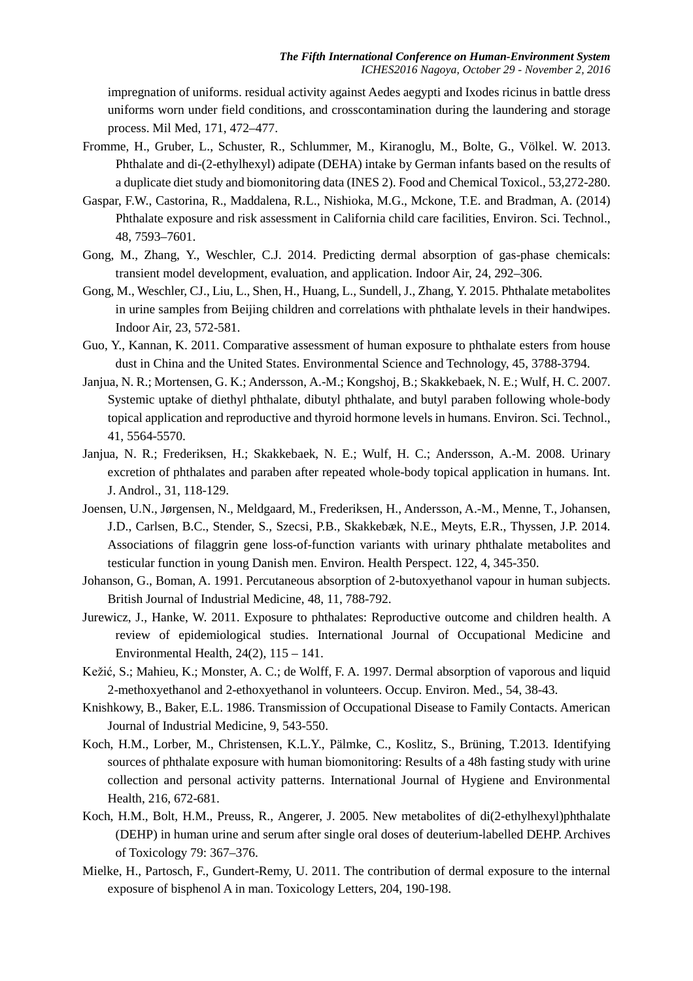impregnation of uniforms. residual activity against Aedes aegypti and Ixodes ricinus in battle dress uniforms worn under field conditions, and crosscontamination during the laundering and storage process. Mil Med, 171, 472–477.

- Fromme, H., Gruber, L., Schuster, R., Schlummer, M., Kiranoglu, M., Bolte, G., Völkel. W. 2013. Phthalate and di-(2-ethylhexyl) adipate (DEHA) intake by German infants based on the results of a duplicate diet study and biomonitoring data (INES 2). Food and Chemical Toxicol., 53,272-280.
- Gaspar, F.W., Castorina, R., Maddalena, R.L., Nishioka, M.G., Mckone, T.E. and Bradman, A. (2014) Phthalate exposure and risk assessment in California child care facilities, Environ. Sci. Technol., 48, 7593–7601.
- Gong, M., Zhang, Y., Weschler, C.J. 2014. Predicting dermal absorption of gas-phase chemicals: transient model development, evaluation, and application. Indoor Air, 24, 292–306.
- Gong, M., Weschler, CJ., Liu, L., Shen, H., Huang, L., Sundell, J., Zhang, Y. 2015. Phthalate metabolites in urine samples from Beijing children and correlations with phthalate levels in their handwipes. Indoor Air, 23, 572-581.
- Guo, Y., Kannan, K. 2011. Comparative assessment of human exposure to phthalate esters from house dust in China and the United States. Environmental Science and Technology, 45, 3788-3794.
- Janjua, N. R.; Mortensen, G. K.; Andersson, A.-M.; Kongshoj, B.; Skakkebaek, N. E.; Wulf, H. C. 2007. Systemic uptake of diethyl phthalate, dibutyl phthalate, and butyl paraben following whole-body topical application and reproductive and thyroid hormone levels in humans. Environ. Sci. Technol., 41, 5564-5570.
- Janjua, N. R.; Frederiksen, H.; Skakkebaek, N. E.; Wulf, H. C.; Andersson, A.-M. 2008. Urinary excretion of phthalates and paraben after repeated whole-body topical application in humans. Int. J. Androl., 31, 118-129.
- Joensen, U.N., Jørgensen, N., Meldgaard, M., Frederiksen, H., Andersson, A.-M., Menne, T., Johansen, J.D., Carlsen, B.C., Stender, S., Szecsi, P.B., Skakkebæk, N.E., Meyts, E.R., Thyssen, J.P. 2014. Associations of filaggrin gene loss-of-function variants with urinary phthalate metabolites and testicular function in young Danish men. Environ. Health Perspect. 122, 4, 345-350.
- Johanson, G., Boman, A. 1991. Percutaneous absorption of 2-butoxyethanol vapour in human subjects. British Journal of Industrial Medicine, 48, 11, 788-792.
- Jurewicz, J., Hanke, W. 2011. Exposure to phthalates: Reproductive outcome and children health. A review of epidemiological studies. International Journal of Occupational Medicine and Environmental Health, 24(2), 115 – 141.
- Kežić, S.; Mahieu, K.; Monster, A. C.; de Wolff, F. A. 1997. Dermal absorption of vaporous and liquid 2-methoxyethanol and 2-ethoxyethanol in volunteers. Occup. Environ. Med., 54, 38-43.
- Knishkowy, B., Baker, E.L. 1986. Transmission of Occupational Disease to Family Contacts. American Journal of Industrial Medicine, 9, 543-550.
- Koch, H.M., Lorber, M., Christensen, K.L.Y., Pälmke, C., Koslitz, S., Brüning, T.2013. Identifying sources of phthalate exposure with human biomonitoring: Results of a 48h fasting study with urine collection and personal activity patterns. International Journal of Hygiene and Environmental Health, 216, 672-681.
- Koch, H.M., Bolt, H.M., Preuss, R., Angerer, J. 2005. New metabolites of di(2-ethylhexyl)phthalate (DEHP) in human urine and serum after single oral doses of deuterium-labelled DEHP. Archives of Toxicology 79: 367–376.
- Mielke, H., Partosch, F., Gundert-Remy, U. 2011. The contribution of dermal exposure to the internal exposure of bisphenol A in man. Toxicology Letters, 204, 190-198.